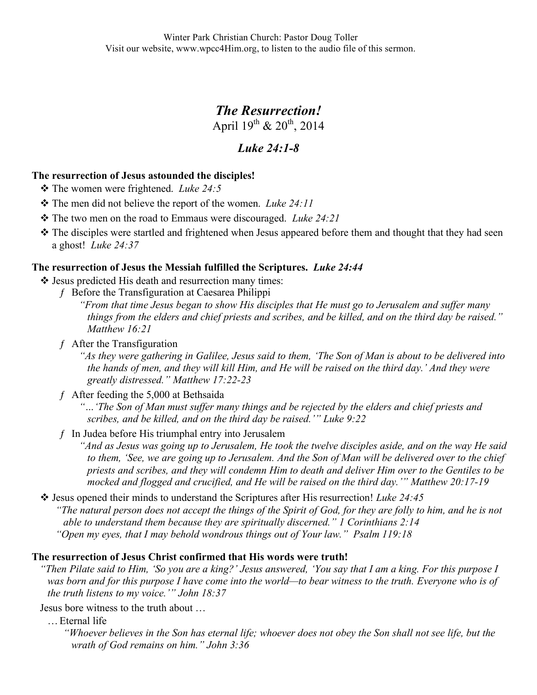# *The Resurrection!*

April  $19^{th}$  &  $20^{th}$ , 2014

# *Luke 24:1-8*

## **The resurrection of Jesus astounded the disciples!**

- The women were frightened. *Luke 24:5*
- The men did not believe the report of the women. *Luke 24:11*
- The two men on the road to Emmaus were discouraged. *Luke 24:21*
- The disciples were startled and frightened when Jesus appeared before them and thought that they had seen a ghost! *Luke 24:37*

#### **The resurrection of Jesus the Messiah fulfilled the Scriptures.** *Luke 24:44*

- $\triangle$  Jesus predicted His death and resurrection many times:
	- ƒ Before the Transfiguration at Caesarea Philippi
		- *"From that time Jesus began to show His disciples that He must go to Jerusalem and suffer many things from the elders and chief priests and scribes, and be killed, and on the third day be raised." Matthew 16:21*
	- $f$  After the Transfiguration

*"As they were gathering in Galilee, Jesus said to them, 'The Son of Man is about to be delivered into the hands of men, and they will kill Him, and He will be raised on the third day.' And they were greatly distressed." Matthew 17:22-23*

ƒ After feeding the 5,000 at Bethsaida

*"…'The Son of Man must suffer many things and be rejected by the elders and chief priests and scribes, and be killed, and on the third day be raised.'" Luke 9:22*

 $f$  In Judea before His triumphal entry into Jerusalem

*"And as Jesus was going up to Jerusalem, He took the twelve disciples aside, and on the way He said to them, 'See, we are going up to Jerusalem. And the Son of Man will be delivered over to the chief priests and scribes, and they will condemn Him to death and deliver Him over to the Gentiles to be mocked and flogged and crucified, and He will be raised on the third day.'" Matthew 20:17-19* 

 Jesus opened their minds to understand the Scriptures after His resurrection! *Luke 24:45 "The natural person does not accept the things of the Spirit of God, for they are folly to him, and he is not able to understand them because they are spiritually discerned." 1 Corinthians 2:14 "Open my eyes, that I may behold wondrous things out of Your law." Psalm 119:18*

#### **The resurrection of Jesus Christ confirmed that His words were truth!**

*"Then Pilate said to Him, 'So you are a king?' Jesus answered, 'You say that I am a king. For this purpose I was born and for this purpose I have come into the world—to bear witness to the truth. Everyone who is of the truth listens to my voice.'" John 18:37*

Jesus bore witness to the truth about …

…Eternal life

*"Whoever believes in the Son has eternal life; whoever does not obey the Son shall not see life, but the wrath of God remains on him." John 3:36*